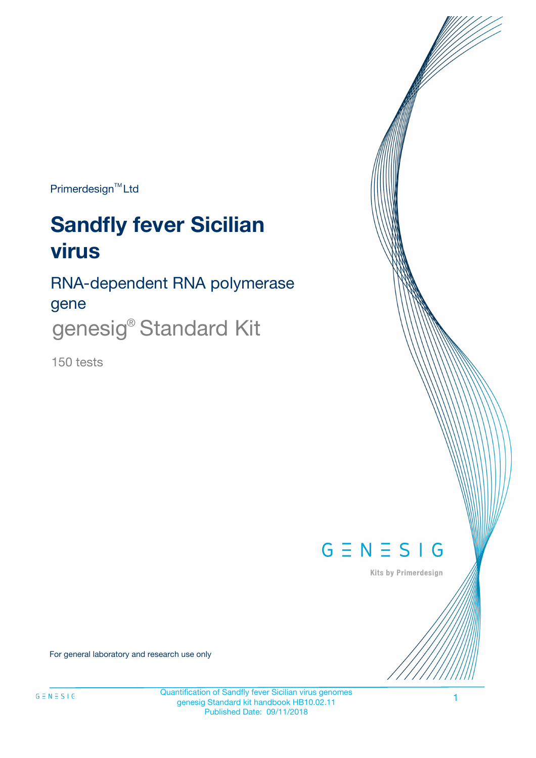Primerdesign<sup>™</sup>Ltd

# **Sandfly fever Sicilian virus**

RNA-dependent RNA polymerase gene genesig® Standard Kit

150 tests



Kits by Primerdesign

For general laboratory and research use only

Quantification of Sandfly fever Sicilian virus genomes genesig Standard kit handbook HB10.02.11 Published Date: 09/11/2018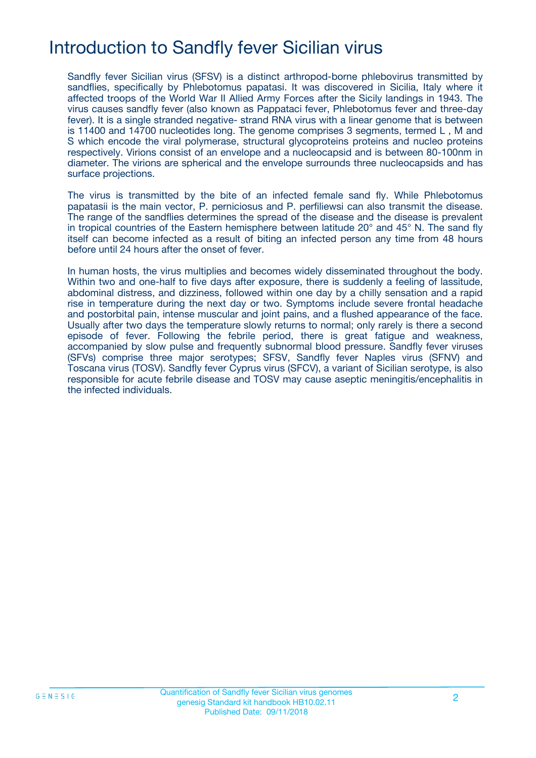## Introduction to Sandfly fever Sicilian virus

Sandfly fever Sicilian virus (SFSV) is a distinct arthropod-borne phlebovirus transmitted by sandflies, specifically by Phlebotomus papatasi. It was discovered in Sicilia, Italy where it affected troops of the World War II Allied Army Forces after the Sicily landings in 1943. The virus causes sandfly fever (also known as Pappataci fever, Phlebotomus fever and three-day fever). It is a single stranded negative- strand RNA virus with a linear genome that is between is 11400 and 14700 nucleotides long. The genome comprises 3 segments, termed L , M and S which encode the viral polymerase, structural glycoproteins proteins and nucleo proteins respectively. Virions consist of an envelope and a nucleocapsid and is between 80-100nm in diameter. The virions are spherical and the envelope surrounds three nucleocapsids and has surface projections.

The virus is transmitted by the bite of an infected female sand fly. While Phlebotomus papatasii is the main vector, P. perniciosus and P. perfiliewsi can also transmit the disease. The range of the sandflies determines the spread of the disease and the disease is prevalent in tropical countries of the Eastern hemisphere between latitude 20° and 45° N. The sand fly itself can become infected as a result of biting an infected person any time from 48 hours before until 24 hours after the onset of fever.

In human hosts, the virus multiplies and becomes widely disseminated throughout the body. Within two and one-half to five days after exposure, there is suddenly a feeling of lassitude, abdominal distress, and dizziness, followed within one day by a chilly sensation and a rapid rise in temperature during the next day or two. Symptoms include severe frontal headache and postorbital pain, intense muscular and joint pains, and a flushed appearance of the face. Usually after two days the temperature slowly returns to normal; only rarely is there a second episode of fever. Following the febrile period, there is great fatigue and weakness, accompanied by slow pulse and frequently subnormal blood pressure. Sandfly fever viruses (SFVs) comprise three major serotypes; SFSV, Sandfly fever Naples virus (SFNV) and Toscana virus (TOSV). Sandfly fever Cyprus virus (SFCV), a variant of Sicilian serotype, is also responsible for acute febrile disease and TOSV may cause aseptic meningitis/encephalitis in the infected individuals.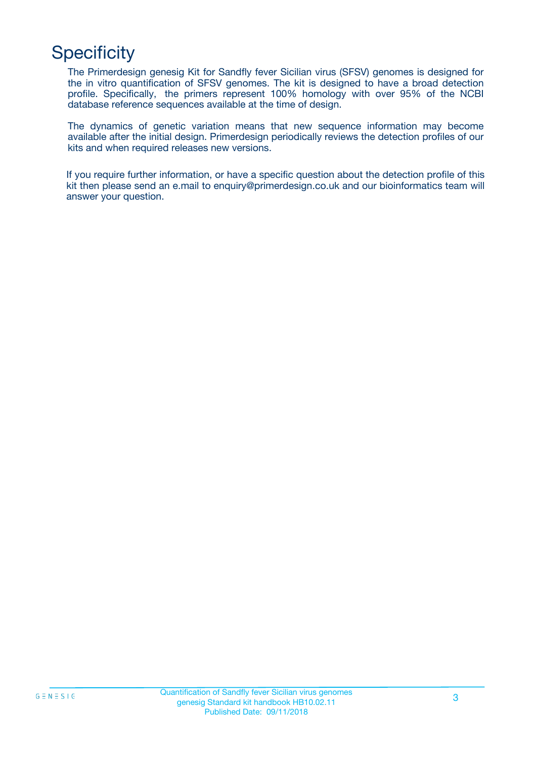## **Specificity**

The Primerdesign genesig Kit for Sandfly fever Sicilian virus (SFSV) genomes is designed for the in vitro quantification of SFSV genomes. The kit is designed to have a broad detection profile. Specifically, the primers represent 100% homology with over 95% of the NCBI database reference sequences available at the time of design.

The dynamics of genetic variation means that new sequence information may become available after the initial design. Primerdesign periodically reviews the detection profiles of our kits and when required releases new versions.

If you require further information, or have a specific question about the detection profile of this kit then please send an e.mail to enquiry@primerdesign.co.uk and our bioinformatics team will answer your question.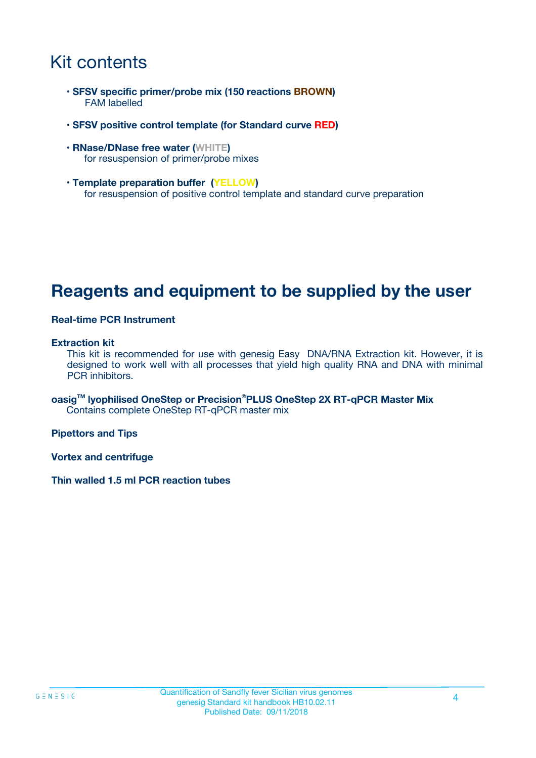### Kit contents

- **SFSV specific primer/probe mix (150 reactions BROWN)** FAM labelled
- **SFSV positive control template (for Standard curve RED)**
- **RNase/DNase free water (WHITE)** for resuspension of primer/probe mixes
- **Template preparation buffer (YELLOW)** for resuspension of positive control template and standard curve preparation

### **Reagents and equipment to be supplied by the user**

#### **Real-time PCR Instrument**

#### **Extraction kit**

This kit is recommended for use with genesig Easy DNA/RNA Extraction kit. However, it is designed to work well with all processes that yield high quality RNA and DNA with minimal PCR inhibitors.

**oasigTM lyophilised OneStep or Precision**®**PLUS OneStep 2X RT-qPCR Master Mix** Contains complete OneStep RT-qPCR master mix

**Pipettors and Tips**

**Vortex and centrifuge**

**Thin walled 1.5 ml PCR reaction tubes**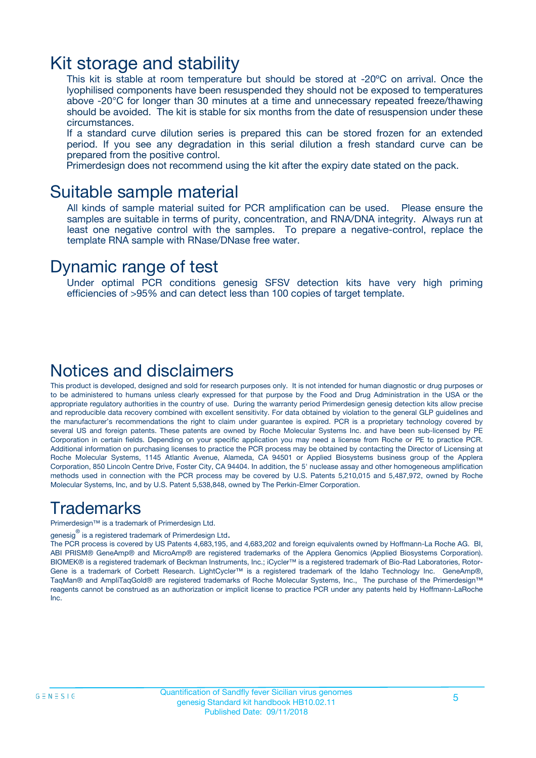### Kit storage and stability

This kit is stable at room temperature but should be stored at -20ºC on arrival. Once the lyophilised components have been resuspended they should not be exposed to temperatures above -20°C for longer than 30 minutes at a time and unnecessary repeated freeze/thawing should be avoided. The kit is stable for six months from the date of resuspension under these circumstances.

If a standard curve dilution series is prepared this can be stored frozen for an extended period. If you see any degradation in this serial dilution a fresh standard curve can be prepared from the positive control.

Primerdesign does not recommend using the kit after the expiry date stated on the pack.

### Suitable sample material

All kinds of sample material suited for PCR amplification can be used. Please ensure the samples are suitable in terms of purity, concentration, and RNA/DNA integrity. Always run at least one negative control with the samples. To prepare a negative-control, replace the template RNA sample with RNase/DNase free water.

### Dynamic range of test

Under optimal PCR conditions genesig SFSV detection kits have very high priming efficiencies of >95% and can detect less than 100 copies of target template.

### Notices and disclaimers

This product is developed, designed and sold for research purposes only. It is not intended for human diagnostic or drug purposes or to be administered to humans unless clearly expressed for that purpose by the Food and Drug Administration in the USA or the appropriate regulatory authorities in the country of use. During the warranty period Primerdesign genesig detection kits allow precise and reproducible data recovery combined with excellent sensitivity. For data obtained by violation to the general GLP guidelines and the manufacturer's recommendations the right to claim under guarantee is expired. PCR is a proprietary technology covered by several US and foreign patents. These patents are owned by Roche Molecular Systems Inc. and have been sub-licensed by PE Corporation in certain fields. Depending on your specific application you may need a license from Roche or PE to practice PCR. Additional information on purchasing licenses to practice the PCR process may be obtained by contacting the Director of Licensing at Roche Molecular Systems, 1145 Atlantic Avenue, Alameda, CA 94501 or Applied Biosystems business group of the Applera Corporation, 850 Lincoln Centre Drive, Foster City, CA 94404. In addition, the 5' nuclease assay and other homogeneous amplification methods used in connection with the PCR process may be covered by U.S. Patents 5,210,015 and 5,487,972, owned by Roche Molecular Systems, Inc, and by U.S. Patent 5,538,848, owned by The Perkin-Elmer Corporation.

### Trademarks

Primerdesign™ is a trademark of Primerdesign Ltd.

genesig $^\circledR$  is a registered trademark of Primerdesign Ltd.

The PCR process is covered by US Patents 4,683,195, and 4,683,202 and foreign equivalents owned by Hoffmann-La Roche AG. BI, ABI PRISM® GeneAmp® and MicroAmp® are registered trademarks of the Applera Genomics (Applied Biosystems Corporation). BIOMEK® is a registered trademark of Beckman Instruments, Inc.; iCycler™ is a registered trademark of Bio-Rad Laboratories, Rotor-Gene is a trademark of Corbett Research. LightCycler™ is a registered trademark of the Idaho Technology Inc. GeneAmp®, TaqMan® and AmpliTaqGold® are registered trademarks of Roche Molecular Systems, Inc., The purchase of the Primerdesign™ reagents cannot be construed as an authorization or implicit license to practice PCR under any patents held by Hoffmann-LaRoche Inc.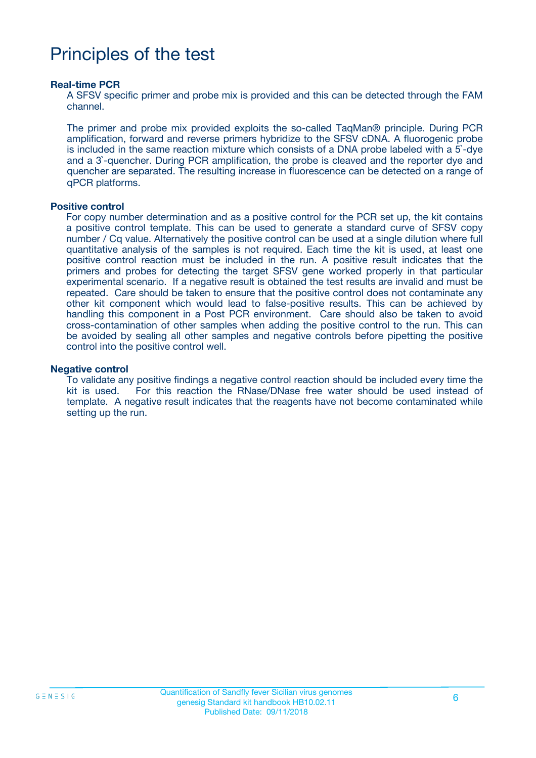## Principles of the test

#### **Real-time PCR**

A SFSV specific primer and probe mix is provided and this can be detected through the FAM channel.

The primer and probe mix provided exploits the so-called TaqMan® principle. During PCR amplification, forward and reverse primers hybridize to the SFSV cDNA. A fluorogenic probe is included in the same reaction mixture which consists of a DNA probe labeled with a 5`-dye and a 3`-quencher. During PCR amplification, the probe is cleaved and the reporter dye and quencher are separated. The resulting increase in fluorescence can be detected on a range of qPCR platforms.

#### **Positive control**

For copy number determination and as a positive control for the PCR set up, the kit contains a positive control template. This can be used to generate a standard curve of SFSV copy number / Cq value. Alternatively the positive control can be used at a single dilution where full quantitative analysis of the samples is not required. Each time the kit is used, at least one positive control reaction must be included in the run. A positive result indicates that the primers and probes for detecting the target SFSV gene worked properly in that particular experimental scenario. If a negative result is obtained the test results are invalid and must be repeated. Care should be taken to ensure that the positive control does not contaminate any other kit component which would lead to false-positive results. This can be achieved by handling this component in a Post PCR environment. Care should also be taken to avoid cross-contamination of other samples when adding the positive control to the run. This can be avoided by sealing all other samples and negative controls before pipetting the positive control into the positive control well.

#### **Negative control**

To validate any positive findings a negative control reaction should be included every time the kit is used. For this reaction the RNase/DNase free water should be used instead of template. A negative result indicates that the reagents have not become contaminated while setting up the run.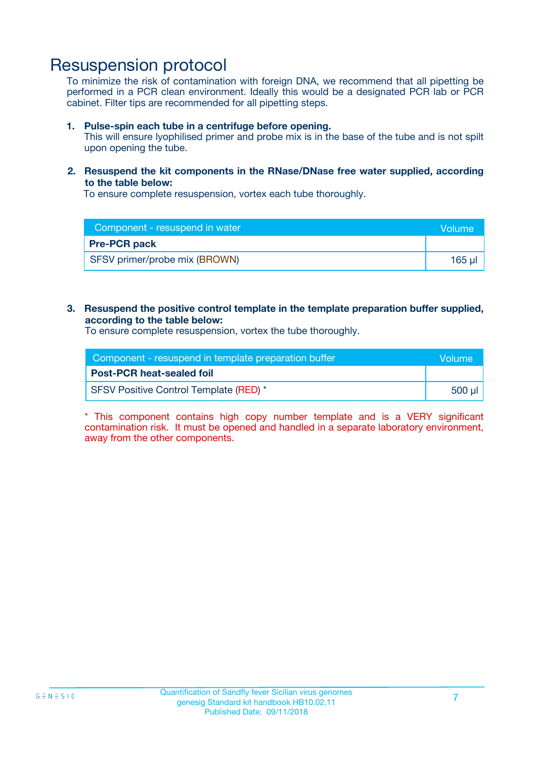### Resuspension protocol

To minimize the risk of contamination with foreign DNA, we recommend that all pipetting be performed in a PCR clean environment. Ideally this would be a designated PCR lab or PCR cabinet. Filter tips are recommended for all pipetting steps.

#### **1. Pulse-spin each tube in a centrifuge before opening.**

This will ensure lyophilised primer and probe mix is in the base of the tube and is not spilt upon opening the tube.

#### **2. Resuspend the kit components in the RNase/DNase free water supplied, according to the table below:**

To ensure complete resuspension, vortex each tube thoroughly.

| Component - resuspend in water | <b>Nolume</b> |
|--------------------------------|---------------|
| <b>Pre-PCR pack</b>            |               |
| SFSV primer/probe mix (BROWN)  | 165 µl        |

#### **3. Resuspend the positive control template in the template preparation buffer supplied, according to the table below:**

To ensure complete resuspension, vortex the tube thoroughly.

| Component - resuspend in template preparation buffer |        |  |
|------------------------------------------------------|--------|--|
| <b>Post-PCR heat-sealed foil</b>                     |        |  |
| SFSV Positive Control Template (RED) *               | 500 µl |  |

\* This component contains high copy number template and is a VERY significant contamination risk. It must be opened and handled in a separate laboratory environment, away from the other components.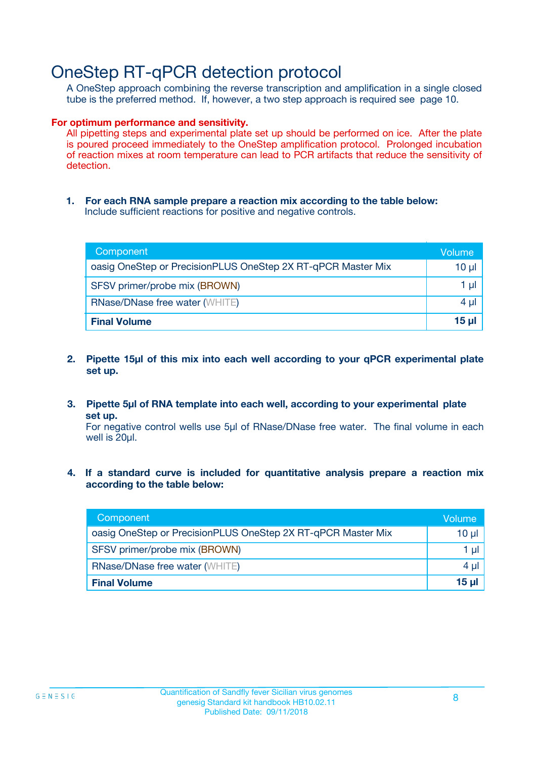### OneStep RT-qPCR detection protocol

A OneStep approach combining the reverse transcription and amplification in a single closed tube is the preferred method. If, however, a two step approach is required see page 10.

#### **For optimum performance and sensitivity.**

All pipetting steps and experimental plate set up should be performed on ice. After the plate is poured proceed immediately to the OneStep amplification protocol. Prolonged incubation of reaction mixes at room temperature can lead to PCR artifacts that reduce the sensitivity of detection.

**1. For each RNA sample prepare a reaction mix according to the table below:** Include sufficient reactions for positive and negative controls.

| Component                                                    | Volume     |
|--------------------------------------------------------------|------------|
| oasig OneStep or PrecisionPLUS OneStep 2X RT-qPCR Master Mix | $10 \mu$   |
| SFSV primer/probe mix (BROWN)                                | 1 µl       |
| <b>RNase/DNase free water (WHITE)</b>                        | 4 µl       |
| <b>Final Volume</b>                                          | $15$ $\mu$ |

- **2. Pipette 15µl of this mix into each well according to your qPCR experimental plate set up.**
- **3. Pipette 5µl of RNA template into each well, according to your experimental plate set up.**

For negative control wells use 5µl of RNase/DNase free water. The final volume in each well is 20ul.

**4. If a standard curve is included for quantitative analysis prepare a reaction mix according to the table below:**

| Component                                                    | Volume   |
|--------------------------------------------------------------|----------|
| oasig OneStep or PrecisionPLUS OneStep 2X RT-qPCR Master Mix | 10 µl    |
| SFSV primer/probe mix (BROWN)                                | 1 ul     |
| <b>RNase/DNase free water (WHITE)</b>                        | $4 \mu$  |
| <b>Final Volume</b>                                          | $15 \mu$ |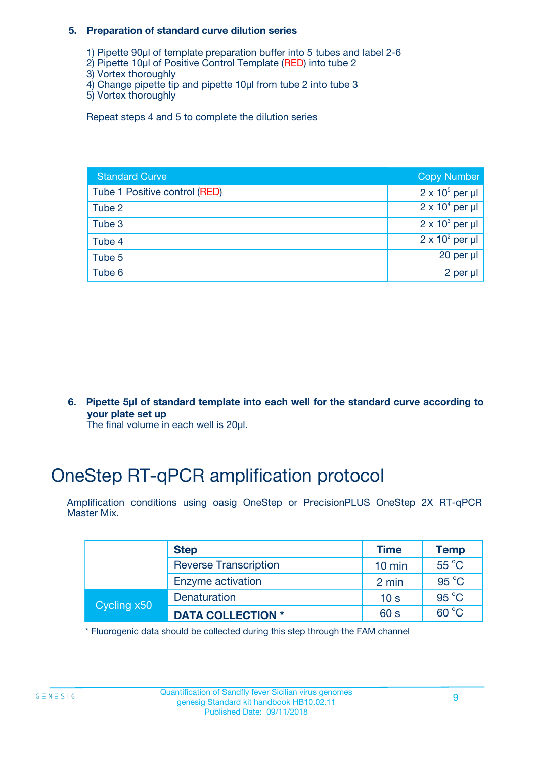#### **5. Preparation of standard curve dilution series**

- 1) Pipette 90µl of template preparation buffer into 5 tubes and label 2-6
- 2) Pipette 10µl of Positive Control Template (RED) into tube 2
- 3) Vortex thoroughly
- 4) Change pipette tip and pipette 10µl from tube 2 into tube 3
- 5) Vortex thoroughly

Repeat steps 4 and 5 to complete the dilution series

| <b>Standard Curve</b>         | <b>Copy Number</b>     |
|-------------------------------|------------------------|
| Tube 1 Positive control (RED) | $2 \times 10^5$ per µl |
| Tube 2                        | $2 \times 10^4$ per µl |
| Tube 3                        | $2 \times 10^3$ per µl |
| Tube 4                        | $2 \times 10^2$ per µl |
| Tube 5                        | 20 per $\mu$           |
| Tube 6                        | 2 per µl               |

**6. Pipette 5µl of standard template into each well for the standard curve according to your plate set up**

The final volume in each well is 20ul.

## OneStep RT-qPCR amplification protocol

Amplification conditions using oasig OneStep or PrecisionPLUS OneStep 2X RT-qPCR Master Mix.

|             | <b>Step</b>                  | <b>Time</b>      | <b>Temp</b>    |
|-------------|------------------------------|------------------|----------------|
|             | <b>Reverse Transcription</b> | $10 \text{ min}$ | 55 °C          |
|             | Enzyme activation            | 2 min            | $95^{\circ}$ C |
| Cycling x50 | Denaturation                 | 10 <sub>s</sub>  | $95^{\circ}$ C |
|             | <b>DATA COLLECTION *</b>     | 60 s             | $60^{\circ}$ C |

\* Fluorogenic data should be collected during this step through the FAM channel